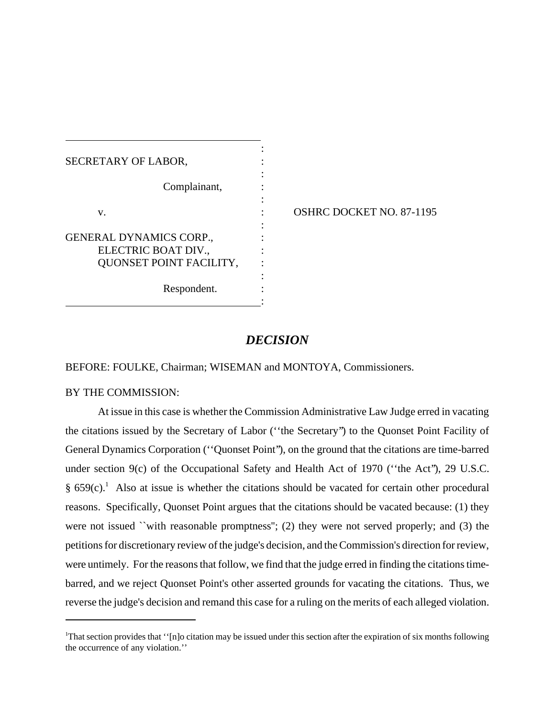| SECRETARY OF LABOR,                                                              |                          |
|----------------------------------------------------------------------------------|--------------------------|
| Complainant,                                                                     |                          |
| V.                                                                               | OSHRC DOCKET NO. 87-1195 |
| <b>GENERAL DYNAMICS CORP.,</b><br>ELECTRIC BOAT DIV.,<br>QUONSET POINT FACILITY, |                          |
| Respondent.                                                                      |                          |

# *DECISION*

BEFORE: FOULKE, Chairman; WISEMAN and MONTOYA, Commissioners.

### BY THE COMMISSION:

At issue in this case is whether the Commission Administrative Law Judge erred in vacating the citations issued by the Secretary of Labor (''the Secretary'') to the Quonset Point Facility of General Dynamics Corporation (''Quonset Point''), on the ground that the citations are time-barred under section 9(c) of the Occupational Safety and Health Act of 1970 ("the Act"), 29 U.S.C. § 659 $(c)$ .<sup>1</sup> Also at issue is whether the citations should be vacated for certain other procedural reasons. Specifically, Quonset Point argues that the citations should be vacated because: (1) they were not issued ``with reasonable promptness"; (2) they were not served properly; and (3) the petitions for discretionary review of the judge's decision, and the Commission's direction for review, were untimely. For the reasons that follow, we find that the judge erred in finding the citations timebarred, and we reject Quonset Point's other asserted grounds for vacating the citations. Thus, we reverse the judge's decision and remand this case for a ruling on the merits of each alleged violation.

<sup>&</sup>lt;sup>1</sup>That section provides that "[n]o citation may be issued under this section after the expiration of six months following the occurrence of any violation.''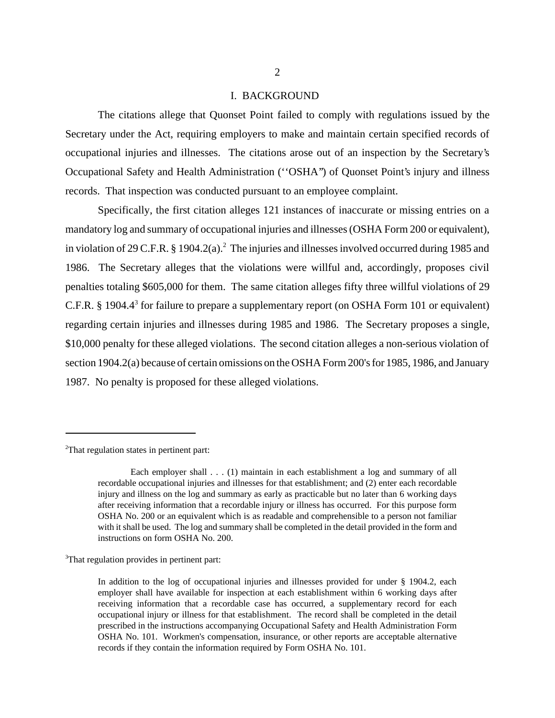#### I. BACKGROUND

The citations allege that Quonset Point failed to comply with regulations issued by the Secretary under the Act, requiring employers to make and maintain certain specified records of occupational injuries and illnesses. The citations arose out of an inspection by the Secretary's Occupational Safety and Health Administration (''OSHA'') of Quonset Point's injury and illness records. That inspection was conducted pursuant to an employee complaint.

Specifically, the first citation alleges 121 instances of inaccurate or missing entries on a mandatory log and summary of occupational injuries and illnesses (OSHA Form 200 or equivalent), in violation of 29 C.F.R. § 1904.2(a).<sup>2</sup> The injuries and illnesses involved occurred during 1985 and 1986. The Secretary alleges that the violations were willful and, accordingly, proposes civil penalties totaling \$605,000 for them. The same citation alleges fifty three willful violations of 29 C.F.R. § 1904. $4^3$  for failure to prepare a supplementary report (on OSHA Form 101 or equivalent) regarding certain injuries and illnesses during 1985 and 1986. The Secretary proposes a single, \$10,000 penalty for these alleged violations. The second citation alleges a non-serious violation of section 1904.2(a) because of certain omissions on the OSHA Form 200's for 1985, 1986, and January 1987. No penalty is proposed for these alleged violations.

<sup>2</sup>That regulation states in pertinent part:

<sup>3</sup>That regulation provides in pertinent part:

Each employer shall . . . (1) maintain in each establishment a log and summary of all recordable occupational injuries and illnesses for that establishment; and (2) enter each recordable injury and illness on the log and summary as early as practicable but no later than 6 working days after receiving information that a recordable injury or illness has occurred. For this purpose form OSHA No. 200 or an equivalent which is as readable and comprehensible to a person not familiar with it shall be used. The log and summary shall be completed in the detail provided in the form and instructions on form OSHA No. 200.

In addition to the log of occupational injuries and illnesses provided for under § 1904.2, each employer shall have available for inspection at each establishment within 6 working days after receiving information that a recordable case has occurred, a supplementary record for each occupational injury or illness for that establishment. The record shall be completed in the detail prescribed in the instructions accompanying Occupational Safety and Health Administration Form OSHA No. 101. Workmen's compensation, insurance, or other reports are acceptable alternative records if they contain the information required by Form OSHA No. 101.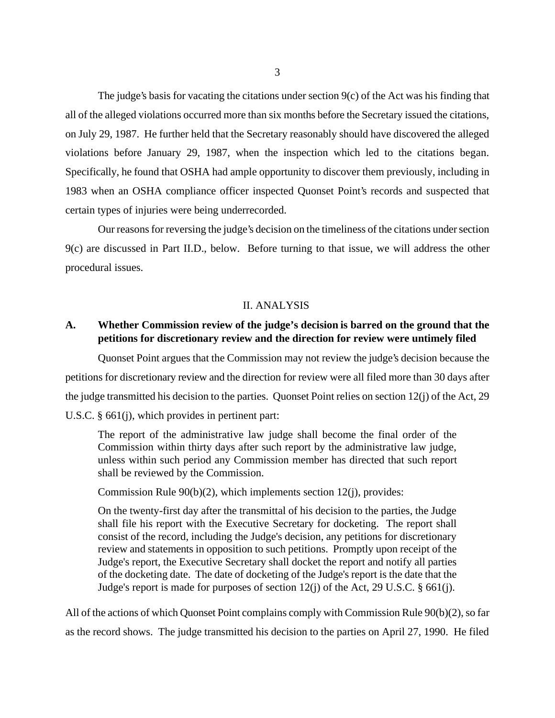The judge's basis for vacating the citations under section  $9(c)$  of the Act was his finding that all of the alleged violations occurred more than six months before the Secretary issued the citations, on July 29, 1987. He further held that the Secretary reasonably should have discovered the alleged violations before January 29, 1987, when the inspection which led to the citations began. Specifically, he found that OSHA had ample opportunity to discover them previously, including in 1983 when an OSHA compliance officer inspected Quonset Point's records and suspected that certain types of injuries were being underrecorded.

Our reasons for reversing the judge's decision on the timeliness of the citations under section 9(c) are discussed in Part II.D., below. Before turning to that issue, we will address the other procedural issues.

#### II. ANALYSIS

## **A. Whether Commission review of the judge's decision is barred on the ground that the petitions for discretionary review and the direction for review were untimely filed**

Quonset Point argues that the Commission may not review the judge's decision because the petitions for discretionary review and the direction for review were all filed more than 30 days after the judge transmitted his decision to the parties. Quonset Point relies on section 12(j) of the Act, 29 U.S.C. § 661(j), which provides in pertinent part:

The report of the administrative law judge shall become the final order of the Commission within thirty days after such report by the administrative law judge, unless within such period any Commission member has directed that such report shall be reviewed by the Commission.

Commission Rule 90(b)(2), which implements section 12(j), provides:

On the twenty-first day after the transmittal of his decision to the parties, the Judge shall file his report with the Executive Secretary for docketing. The report shall consist of the record, including the Judge's decision, any petitions for discretionary review and statements in opposition to such petitions. Promptly upon receipt of the Judge's report, the Executive Secretary shall docket the report and notify all parties of the docketing date. The date of docketing of the Judge's report is the date that the Judge's report is made for purposes of section 12(j) of the Act, 29 U.S.C. § 661(j).

All of the actions of which Quonset Point complains comply with Commission Rule 90(b)(2), so far as the record shows. The judge transmitted his decision to the parties on April 27, 1990. He filed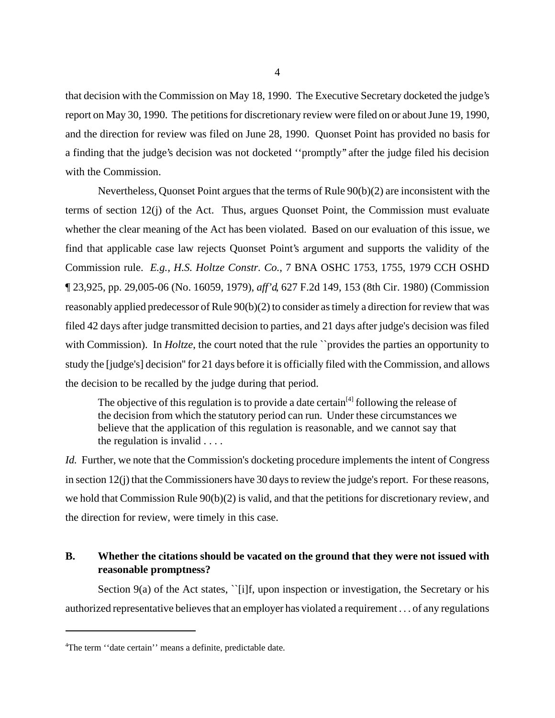that decision with the Commission on May 18, 1990. The Executive Secretary docketed the judge's report on May 30, 1990. The petitions for discretionary review were filed on or about June 19, 1990, and the direction for review was filed on June 28, 1990. Quonset Point has provided no basis for a finding that the judge's decision was not docketed ''promptly'' after the judge filed his decision with the Commission.

Nevertheless, Quonset Point argues that the terms of Rule  $90(b)(2)$  are inconsistent with the terms of section 12(j) of the Act. Thus, argues Quonset Point, the Commission must evaluate whether the clear meaning of the Act has been violated. Based on our evaluation of this issue, we find that applicable case law rejects Quonset Point's argument and supports the validity of the Commission rule. *E.g., H.S. Holtze Constr. Co.*, 7 BNA OSHC 1753, 1755, 1979 CCH OSHD ¶ 23,925, pp. 29,005-06 (No. 16059, 1979), *aff'd*, 627 F.2d 149, 153 (8th Cir. 1980) (Commission reasonably applied predecessor of Rule 90(b)(2) to consider as timely a direction for review that was filed 42 days after judge transmitted decision to parties, and 21 days after judge's decision was filed with Commission). In *Holtze*, the court noted that the rule *`*provides the parties an opportunity to study the [judge's] decision'' for 21 days before it is officially filed with the Commission, and allows the decision to be recalled by the judge during that period.

The objective of this regulation is to provide a date certain<sup>[4]</sup> following the release of the decision from which the statutory period can run. Under these circumstances we believe that the application of this regulation is reasonable, and we cannot say that the regulation is invalid . . . .

*Id.* Further, we note that the Commission's docketing procedure implements the intent of Congress in section 12(j) that the Commissioners have 30 days to review the judge's report. For these reasons, we hold that Commission Rule 90(b)(2) is valid, and that the petitions for discretionary review, and the direction for review, were timely in this case.

## **B. Whether the citations should be vacated on the ground that they were not issued with reasonable promptness?**

Section 9(a) of the Act states, '[i]f, upon inspection or investigation, the Secretary or his authorized representative believes that an employer has violated a requirement . . . of any regulations

<sup>4</sup> The term ''date certain'' means a definite, predictable date.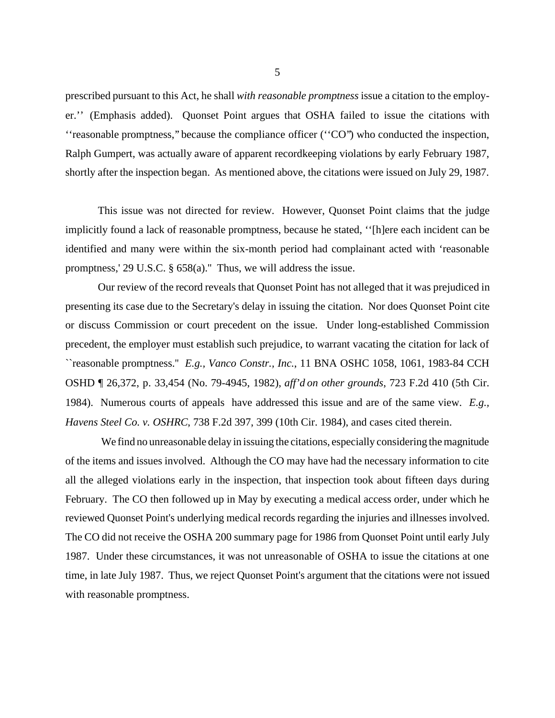prescribed pursuant to this Act, he shall *with reasonable promptness* issue a citation to the employer.'' (Emphasis added). Quonset Point argues that OSHA failed to issue the citations with ''reasonable promptness,'' because the compliance officer (''CO'') who conducted the inspection, Ralph Gumpert, was actually aware of apparent recordkeeping violations by early February 1987, shortly after the inspection began. As mentioned above, the citations were issued on July 29, 1987.

This issue was not directed for review. However, Quonset Point claims that the judge implicitly found a lack of reasonable promptness, because he stated, ''[h]ere each incident can be identified and many were within the six-month period had complainant acted with 'reasonable promptness,' 29 U.S.C. § 658(a).'' Thus, we will address the issue.

Our review of the record reveals that Quonset Point has not alleged that it was prejudiced in presenting its case due to the Secretary's delay in issuing the citation. Nor does Quonset Point cite or discuss Commission or court precedent on the issue. Under long-established Commission precedent, the employer must establish such prejudice, to warrant vacating the citation for lack of ``reasonable promptness.'' *E.g., Vanco Constr., Inc.*, 11 BNA OSHC 1058, 1061, 1983-84 CCH OSHD ¶ 26,372, p. 33,454 (No. 79-4945, 1982), *aff'd on other grounds*, 723 F.2d 410 (5th Cir. 1984). Numerous courts of appeals have addressed this issue and are of the same view. *E.g., Havens Steel Co. v. OSHRC*, 738 F.2d 397, 399 (10th Cir. 1984), and cases cited therein.

We find no unreasonable delay in issuing the citations, especially considering the magnitude of the items and issues involved. Although the CO may have had the necessary information to cite all the alleged violations early in the inspection, that inspection took about fifteen days during February. The CO then followed up in May by executing a medical access order, under which he reviewed Quonset Point's underlying medical records regarding the injuries and illnesses involved. The CO did not receive the OSHA 200 summary page for 1986 from Quonset Point until early July 1987. Under these circumstances, it was not unreasonable of OSHA to issue the citations at one time, in late July 1987. Thus, we reject Quonset Point's argument that the citations were not issued with reasonable promptness.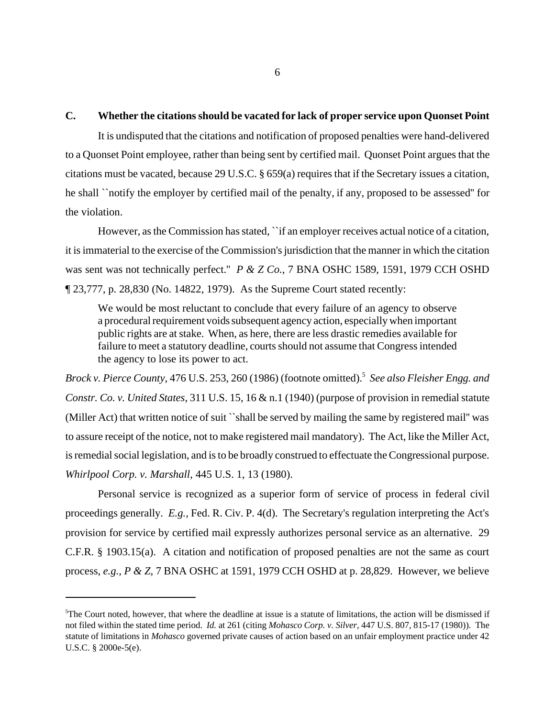### **C. Whether the citations should be vacated for lack of proper service upon Quonset Point**

It is undisputed that the citations and notification of proposed penalties were hand-delivered to a Quonset Point employee, rather than being sent by certified mail. Quonset Point argues that the citations must be vacated, because 29 U.S.C. § 659(a) requires that if the Secretary issues a citation, he shall ``notify the employer by certified mail of the penalty, if any, proposed to be assessed'' for the violation.

However, as the Commission has stated, ``if an employer receives actual notice of a citation, it is immaterial to the exercise of the Commission's jurisdiction that the manner in which the citation was sent was not technically perfect.'' *P & Z Co.*, 7 BNA OSHC 1589, 1591, 1979 CCH OSHD ¶ 23,777, p. 28,830 (No. 14822, 1979). As the Supreme Court stated recently:

We would be most reluctant to conclude that every failure of an agency to observe a procedural requirement voids subsequent agency action, especially when important public rights are at stake. When, as here, there are less drastic remedies available for failure to meet a statutory deadline, courts should not assume that Congress intended the agency to lose its power to act.

*Brock v. Pierce County*, 476 U.S. 253, 260 (1986) (footnote omitted).5 *See also Fleisher Engg. and Constr. Co. v. United States*, 311 U.S. 15, 16 & n.1 (1940) (purpose of provision in remedial statute (Miller Act) that written notice of suit ``shall be served by mailing the same by registered mail'' was to assure receipt of the notice, not to make registered mail mandatory). The Act, like the Miller Act, is remedial social legislation, and is to be broadly construed to effectuate the Congressional purpose. *Whirlpool Corp. v. Marshall*, 445 U.S. 1, 13 (1980).

Personal service is recognized as a superior form of service of process in federal civil proceedings generally. *E.g.*, Fed. R. Civ. P. 4(d). The Secretary's regulation interpreting the Act's provision for service by certified mail expressly authorizes personal service as an alternative. 29 C.F.R. § 1903.15(a). A citation and notification of proposed penalties are not the same as court process, *e.g., P & Z*, 7 BNA OSHC at 1591, 1979 CCH OSHD at p. 28,829. However, we believe

<sup>&</sup>lt;sup>5</sup>The Court noted, however, that where the deadline at issue is a statute of limitations, the action will be dismissed if not filed within the stated time period. *Id.* at 261 (citing *Mohasco Corp. v. Silver*, 447 U.S. 807, 815-17 (1980)). The statute of limitations in *Mohasco* governed private causes of action based on an unfair employment practice under 42 U.S.C. § 2000e-5(e).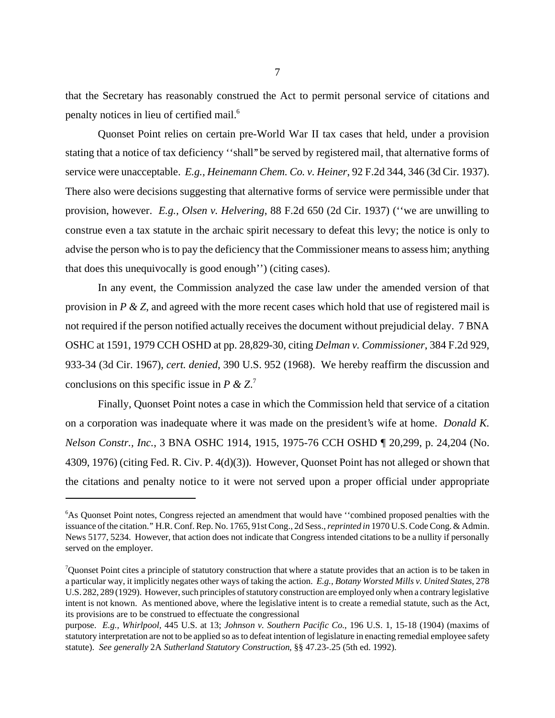that the Secretary has reasonably construed the Act to permit personal service of citations and penalty notices in lieu of certified mail.<sup>6</sup>

Quonset Point relies on certain pre-World War II tax cases that held, under a provision stating that a notice of tax deficiency ''shall'' be served by registered mail, that alternative forms of service were unacceptable. *E.g., Heinemann Chem. Co. v. Heiner*, 92 F.2d 344, 346 (3d Cir. 1937). There also were decisions suggesting that alternative forms of service were permissible under that provision, however. *E.g., Olsen v. Helvering*, 88 F.2d 650 (2d Cir. 1937) (''we are unwilling to construe even a tax statute in the archaic spirit necessary to defeat this levy; the notice is only to advise the person who is to pay the deficiency that the Commissioner means to assess him; anything that does this unequivocally is good enough'') (citing cases).

In any event, the Commission analyzed the case law under the amended version of that provision in *P & Z*, and agreed with the more recent cases which hold that use of registered mail is not required if the person notified actually receives the document without prejudicial delay. 7 BNA OSHC at 1591, 1979 CCH OSHD at pp. 28,829-30, citing *Delman v. Commissioner*, 384 F.2d 929, 933-34 (3d Cir. 1967), *cert. denied*, 390 U.S. 952 (1968). We hereby reaffirm the discussion and conclusions on this specific issue in *P & Z*. 7

Finally, Quonset Point notes a case in which the Commission held that service of a citation on a corporation was inadequate where it was made on the president's wife at home. *Donald K. Nelson Constr., Inc.*, 3 BNA OSHC 1914, 1915, 1975-76 CCH OSHD ¶ 20,299, p. 24,204 (No. 4309, 1976) (citing Fed. R. Civ. P. 4(d)(3)). However, Quonset Point has not alleged or shown that the citations and penalty notice to it were not served upon a proper official under appropriate

<sup>&</sup>lt;sup>6</sup>As Quonset Point notes, Congress rejected an amendment that would have "combined proposed penalties with the issuance of the citation.'' H.R. Conf. Rep. No. 1765, 91st Cong., 2d Sess., *reprinted in* 1970 U.S. Code Cong. & Admin. News 5177, 5234. However, that action does not indicate that Congress intended citations to be a nullity if personally served on the employer.

Quonset Point cites a principle of statutory construction that where a statute provides that an action is to be taken in a particular way, it implicitly negates other ways of taking the action. *E.g., Botany Worsted Mills v. United States*, 278 U.S. 282, 289 (1929). However, such principles of statutory construction are employed only when a contrary legislative intent is not known. As mentioned above, where the legislative intent is to create a remedial statute, such as the Act, its provisions are to be construed to effectuate the congressional

purpose. *E.g., Whirlpool,* 445 U.S. at 13; *Johnson v. Southern Pacific Co.*, 196 U.S. 1, 15-18 (1904) (maxims of statutory interpretation are not to be applied so as to defeat intention of legislature in enacting remedial employee safety statute). *See generally* 2A *Sutherland Statutory Construction*, §§ 47.23-.25 (5th ed. 1992).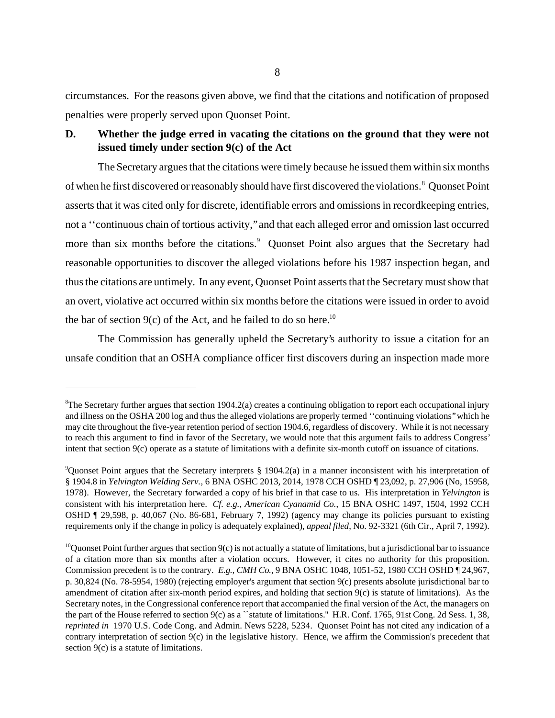circumstances. For the reasons given above, we find that the citations and notification of proposed penalties were properly served upon Quonset Point.

# **D. Whether the judge erred in vacating the citations on the ground that they were not issued timely under section 9(c) of the Act**

The Secretary argues that the citations were timely because he issued them within six months of when he first discovered or reasonably should have first discovered the violations.<sup>8</sup> Quonset Point asserts that it was cited only for discrete, identifiable errors and omissions in recordkeeping entries, not a ''continuous chain of tortious activity,'' and that each alleged error and omission last occurred more than six months before the citations.<sup>9</sup> Quonset Point also argues that the Secretary had reasonable opportunities to discover the alleged violations before his 1987 inspection began, and thus the citations are untimely. In any event, Quonset Point asserts that the Secretary must show that an overt, violative act occurred within six months before the citations were issued in order to avoid the bar of section  $9(c)$  of the Act, and he failed to do so here.<sup>10</sup>

The Commission has generally upheld the Secretary's authority to issue a citation for an unsafe condition that an OSHA compliance officer first discovers during an inspection made more

<sup>&</sup>lt;sup>8</sup>The Secretary further argues that section 1904.2(a) creates a continuing obligation to report each occupational injury and illness on the OSHA 200 log and thus the alleged violations are properly termed ''continuing violations'' which he may cite throughout the five-year retention period of section 1904.6, regardless of discovery. While it is not necessary to reach this argument to find in favor of the Secretary, we would note that this argument fails to address Congress' intent that section 9(c) operate as a statute of limitations with a definite six-month cutoff on issuance of citations.

<sup>9</sup> Quonset Point argues that the Secretary interprets § 1904.2(a) in a manner inconsistent with his interpretation of § 1904.8 in *Yelvington Welding Serv.*, 6 BNA OSHC 2013, 2014, 1978 CCH OSHD ¶ 23,092, p. 27,906 (No, 15958, 1978). However, the Secretary forwarded a copy of his brief in that case to us. His interpretation in *Yelvington* is consistent with his interpretation here. *Cf. e.g., American Cyanamid Co.*, 15 BNA OSHC 1497, 1504, 1992 CCH OSHD ¶ 29,598, p. 40,067 (No. 86-681, February 7, 1992) (agency may change its policies pursuant to existing requirements only if the change in policy is adequately explained), *appeal filed*, No. 92-3321 (6th Cir., April 7, 1992).

<sup>&</sup>lt;sup>10</sup>Quonset Point further argues that section  $9(c)$  is not actually a statute of limitations, but a jurisdictional bar to issuance of a citation more than six months after a violation occurs. However, it cites no authority for this proposition. Commission precedent is to the contrary. *E.g., CMH Co.*, 9 BNA OSHC 1048, 1051-52, 1980 CCH OSHD ¶ 24,967, p. 30,824 (No. 78-5954, 1980) (rejecting employer's argument that section 9(c) presents absolute jurisdictional bar to amendment of citation after six-month period expires, and holding that section 9(c) is statute of limitations). As the Secretary notes, in the Congressional conference report that accompanied the final version of the Act, the managers on the part of the House referred to section 9(c) as a ``statute of limitations.'' H.R. Conf. 1765, 91st Cong. 2d Sess. 1, 38, *reprinted in* 1970 U.S. Code Cong. and Admin. News 5228, 5234. Quonset Point has not cited any indication of a contrary interpretation of section 9(c) in the legislative history. Hence, we affirm the Commission's precedent that section 9(c) is a statute of limitations.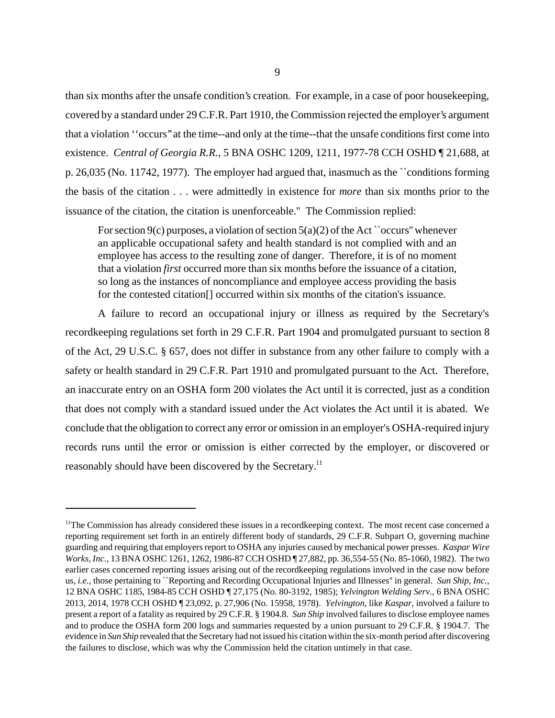than six months after the unsafe condition's creation. For example, in a case of poor housekeeping, covered by a standard under 29 C.F.R. Part 1910, the Commission rejected the employer's argument that a violation ''occurs'' at the time--and only at the time--that the unsafe conditions first come into existence. *Central of Georgia R.R.*, 5 BNA OSHC 1209, 1211, 1977-78 CCH OSHD ¶ 21,688, at p. 26,035 (No. 11742, 1977). The employer had argued that, inasmuch as the ``conditions forming the basis of the citation . . . were admittedly in existence for *more* than six months prior to the issuance of the citation, the citation is unenforceable.'' The Commission replied:

For section 9(c) purposes, a violation of section  $5(a)(2)$  of the Act ``occurs'' whenever an applicable occupational safety and health standard is not complied with and an employee has access to the resulting zone of danger. Therefore, it is of no moment that a violation *first* occurred more than six months before the issuance of a citation, so long as the instances of noncompliance and employee access providing the basis for the contested citation[] occurred within six months of the citation's issuance.

A failure to record an occupational injury or illness as required by the Secretary's recordkeeping regulations set forth in 29 C.F.R. Part 1904 and promulgated pursuant to section 8 of the Act, 29 U.S.C. § 657, does not differ in substance from any other failure to comply with a safety or health standard in 29 C.F.R. Part 1910 and promulgated pursuant to the Act. Therefore, an inaccurate entry on an OSHA form 200 violates the Act until it is corrected, just as a condition that does not comply with a standard issued under the Act violates the Act until it is abated. We conclude that the obligation to correct any error or omission in an employer's OSHA-required injury records runs until the error or omission is either corrected by the employer, or discovered or reasonably should have been discovered by the Secretary.<sup>11</sup>

 $11$ The Commission has already considered these issues in a record keeping context. The most recent case concerned a reporting requirement set forth in an entirely different body of standards, 29 C.F.R. Subpart O, governing machine guarding and requiring that employers report to OSHA any injuries caused by mechanical power presses. *Kaspar Wire Works, Inc.*, 13 BNA OSHC 1261, 1262, 1986-87 CCH OSHD ¶ 27,882, pp. 36,554-55 (No. 85-1060, 1982). The two earlier cases concerned reporting issues arising out of the recordkeeping regulations involved in the case now before us, *i.e.*, those pertaining to ``Reporting and Recording Occupational Injuries and Illnesses'' in general. *Sun Ship, Inc.*, 12 BNA OSHC 1185, 1984-85 CCH OSHD ¶ 27,175 (No. 80-3192, 1985); *Yelvington Welding Serv.*, 6 BNA OSHC 2013, 2014, 1978 CCH OSHD ¶ 23,092, p. 27,906 (No. 15958, 1978). *Yelvington*, like *Kaspar*, involved a failure to present a report of a fatality as required by 29 C.F.R. § 1904.8. *Sun Ship* involved failures to disclose employee names and to produce the OSHA form 200 logs and summaries requested by a union pursuant to 29 C.F.R. § 1904.7. The evidence in *Sun Ship* revealed that the Secretary had not issued his citation within the six-month period after discovering the failures to disclose, which was why the Commission held the citation untimely in that case.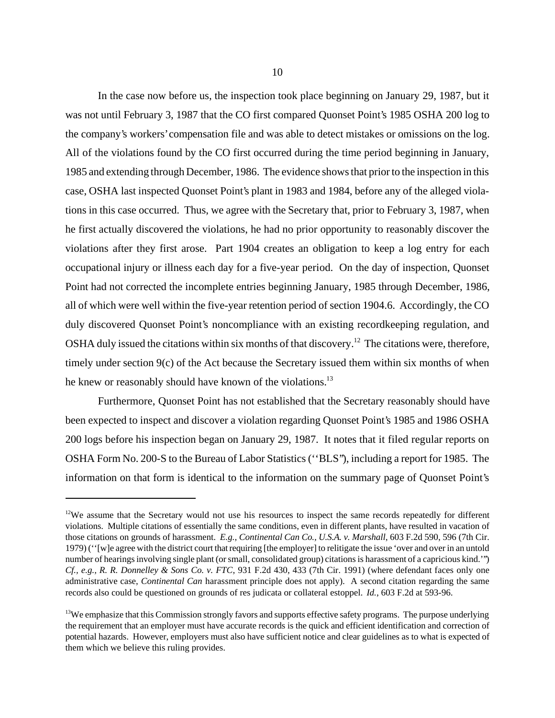In the case now before us, the inspection took place beginning on January 29, 1987, but it was not until February 3, 1987 that the CO first compared Quonset Point's 1985 OSHA 200 log to the company's workers' compensation file and was able to detect mistakes or omissions on the log. All of the violations found by the CO first occurred during the time period beginning in January, 1985 and extending through December, 1986. The evidence shows that prior to the inspection in this case, OSHA last inspected Quonset Point's plant in 1983 and 1984, before any of the alleged violations in this case occurred. Thus, we agree with the Secretary that, prior to February 3, 1987, when he first actually discovered the violations, he had no prior opportunity to reasonably discover the violations after they first arose. Part 1904 creates an obligation to keep a log entry for each occupational injury or illness each day for a five-year period. On the day of inspection, Quonset Point had not corrected the incomplete entries beginning January, 1985 through December, 1986, all of which were well within the five-year retention period of section 1904.6. Accordingly, the CO duly discovered Quonset Point's noncompliance with an existing recordkeeping regulation, and OSHA duly issued the citations within six months of that discovery.<sup>12</sup> The citations were, therefore, timely under section 9(c) of the Act because the Secretary issued them within six months of when he knew or reasonably should have known of the violations.<sup>13</sup>

Furthermore, Quonset Point has not established that the Secretary reasonably should have been expected to inspect and discover a violation regarding Quonset Point's 1985 and 1986 OSHA 200 logs before his inspection began on January 29, 1987. It notes that it filed regular reports on OSHA Form No. 200-S to the Bureau of Labor Statistics (''BLS''), including a report for 1985. The information on that form is identical to the information on the summary page of Quonset Point's

<sup>&</sup>lt;sup>12</sup>We assume that the Secretary would not use his resources to inspect the same records repeatedly for different violations. Multiple citations of essentially the same conditions, even in different plants, have resulted in vacation of those citations on grounds of harassment. *E.g.*, *Continental Can Co., U.S.A. v. Marshall*, 603 F.2d 590, 596 (7th Cir. 1979) (''[w]e agree with the district court that requiring [the employer] to relitigate the issue 'over and over in an untold number of hearings involving single plant (or small, consolidated group) citations is harassment of a capricious kind.''') *Cf., e.g., R. R. Donnelley & Sons Co. v. FTC*, 931 F.2d 430, 433 (7th Cir. 1991) (where defendant faces only one administrative case, *Continental Can* harassment principle does not apply). A second citation regarding the same records also could be questioned on grounds of res judicata or collateral estoppel. *Id.*, 603 F.2d at 593-96.

<sup>&</sup>lt;sup>13</sup>We emphasize that this Commission strongly favors and supports effective safety programs. The purpose underlying the requirement that an employer must have accurate records is the quick and efficient identification and correction of potential hazards. However, employers must also have sufficient notice and clear guidelines as to what is expected of them which we believe this ruling provides.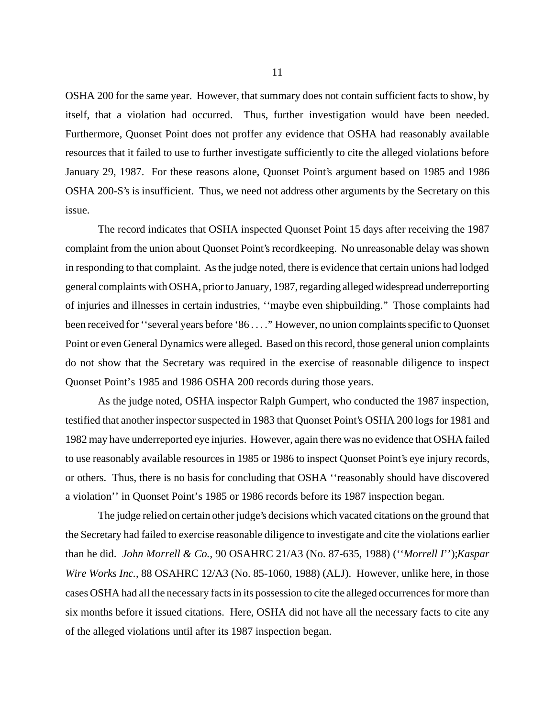OSHA 200 for the same year. However, that summary does not contain sufficient facts to show, by itself, that a violation had occurred. Thus, further investigation would have been needed. Furthermore, Quonset Point does not proffer any evidence that OSHA had reasonably available resources that it failed to use to further investigate sufficiently to cite the alleged violations before January 29, 1987. For these reasons alone, Quonset Point's argument based on 1985 and 1986 OSHA 200-S's is insufficient. Thus, we need not address other arguments by the Secretary on this issue.

The record indicates that OSHA inspected Quonset Point 15 days after receiving the 1987 complaint from the union about Quonset Point's recordkeeping. No unreasonable delay was shown in responding to that complaint. As the judge noted, there is evidence that certain unions had lodged general complaints with OSHA, prior to January, 1987, regarding alleged widespread underreporting of injuries and illnesses in certain industries, ''maybe even shipbuilding.'' Those complaints had been received for ''several years before '86 . . . .'' However, no union complaints specific to Quonset Point or even General Dynamics were alleged. Based on this record, those general union complaints do not show that the Secretary was required in the exercise of reasonable diligence to inspect Quonset Point's 1985 and 1986 OSHA 200 records during those years.

As the judge noted, OSHA inspector Ralph Gumpert, who conducted the 1987 inspection, testified that another inspector suspected in 1983 that Quonset Point's OSHA 200 logs for 1981 and 1982 may have underreported eye injuries. However, again there was no evidence that OSHA failed to use reasonably available resources in 1985 or 1986 to inspect Quonset Point's eye injury records, or others. Thus, there is no basis for concluding that OSHA ''reasonably should have discovered a violation'' in Quonset Point's 1985 or 1986 records before its 1987 inspection began.

The judge relied on certain other judge's decisions which vacated citations on the ground that the Secretary had failed to exercise reasonable diligence to investigate and cite the violations earlier than he did. *John Morrell & Co.*, 90 OSAHRC 21/A3 (No. 87-635, 1988) (''*Morrell I*'');*Kaspar Wire Works Inc.*, 88 OSAHRC 12/A3 (No. 85-1060, 1988) (ALJ). However, unlike here, in those cases OSHA had all the necessary facts in its possession to cite the alleged occurrences for more than six months before it issued citations. Here, OSHA did not have all the necessary facts to cite any of the alleged violations until after its 1987 inspection began.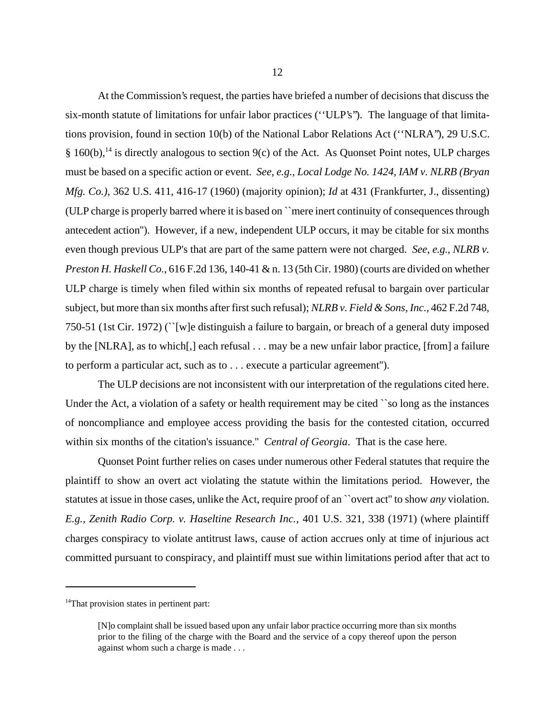At the Commission's request, the parties have briefed a number of decisions that discuss the six-month statute of limitations for unfair labor practices (''ULP's''). The language of that limitations provision, found in section 10(b) of the National Labor Relations Act (''NLRA''), 29 U.S.C.  $§ 160(b)$ ,<sup>14</sup> is directly analogous to section 9(c) of the Act. As Quonset Point notes, ULP charges must be based on a specific action or event. *See, e.g., Local Lodge No. 1424, IAM v. NLRB (Bryan Mfg. Co.)*, 362 U.S. 411, 416-17 (1960) (majority opinion); *Id* at 431 (Frankfurter, J., dissenting) (ULP charge is properly barred where it is based on ``mere inert continuity of consequences through antecedent action''). However, if a new, independent ULP occurs, it may be citable for six months even though previous ULP's that are part of the same pattern were not charged. *See, e.g., NLRB v. Preston H. Haskell Co.*, 616 F.2d 136, 140-41 & n. 13 (5th Cir. 1980) (courts are divided on whether ULP charge is timely when filed within six months of repeated refusal to bargain over particular subject, but more than six months after first such refusal); *NLRB v. Field & Sons, Inc.*, 462 F.2d 748, 750-51 (1st Cir. 1972) (``[w]e distinguish a failure to bargain, or breach of a general duty imposed by the [NLRA], as to which[,] each refusal . . . may be a new unfair labor practice, [from] a failure to perform a particular act, such as to . . . execute a particular agreement'').

The ULP decisions are not inconsistent with our interpretation of the regulations cited here. Under the Act, a violation of a safety or health requirement may be cited ``so long as the instances of noncompliance and employee access providing the basis for the contested citation, occurred within six months of the citation's issuance.'' *Central of Georgia*. That is the case here.

Quonset Point further relies on cases under numerous other Federal statutes that require the plaintiff to show an overt act violating the statute within the limitations period. However, the statutes at issue in those cases, unlike the Act, require proof of an ``overt act'' to show *any* violation. *E.g., Zenith Radio Corp. v. Haseltine Research Inc.*, 401 U.S. 321, 338 (1971) (where plaintiff charges conspiracy to violate antitrust laws, cause of action accrues only at time of injurious act committed pursuant to conspiracy, and plaintiff must sue within limitations period after that act to

<sup>&</sup>lt;sup>14</sup>That provision states in pertinent part:

<sup>[</sup>N]o complaint shall be issued based upon any unfair labor practice occurring more than six months prior to the filing of the charge with the Board and the service of a copy thereof upon the person against whom such a charge is made . . .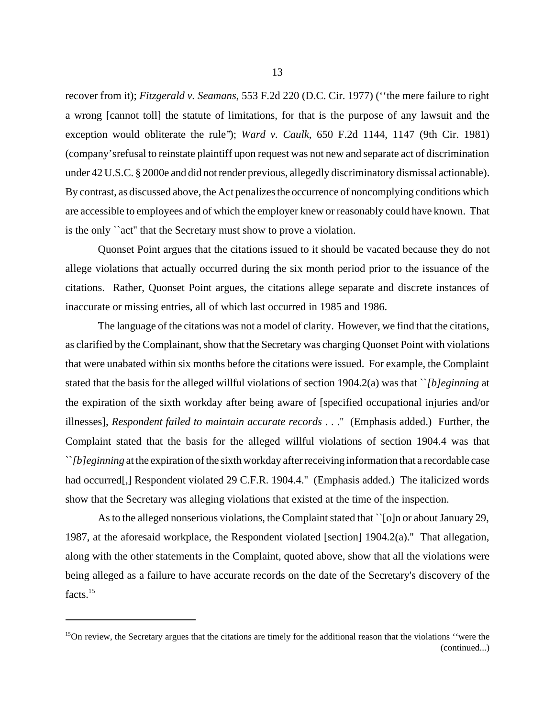recover from it); *Fitzgerald v. Seamans*, 553 F.2d 220 (D.C. Cir. 1977) (''the mere failure to right a wrong [cannot toll] the statute of limitations, for that is the purpose of any lawsuit and the exception would obliterate the rule"); *Ward v. Caulk*, 650 F.2d 1144, 1147 (9th Cir. 1981) (company's refusal to reinstate plaintiff upon request was not new and separate act of discrimination under 42 U.S.C. § 2000e and did not render previous, allegedly discriminatory dismissal actionable). By contrast, as discussed above, the Act penalizes the occurrence of noncomplying conditions which are accessible to employees and of which the employer knew or reasonably could have known. That is the only ``act'' that the Secretary must show to prove a violation.

Quonset Point argues that the citations issued to it should be vacated because they do not allege violations that actually occurred during the six month period prior to the issuance of the citations. Rather, Quonset Point argues, the citations allege separate and discrete instances of inaccurate or missing entries, all of which last occurred in 1985 and 1986.

The language of the citations was not a model of clarity. However, we find that the citations, as clarified by the Complainant, show that the Secretary was charging Quonset Point with violations that were unabated within six months before the citations were issued. For example, the Complaint stated that the basis for the alleged willful violations of section 1904.2(a) was that ``*[b]eginning* at the expiration of the sixth workday after being aware of [specified occupational injuries and/or illnesses], *Respondent failed to maintain accurate records* . . .'' (Emphasis added.) Further, the Complaint stated that the basis for the alleged willful violations of section 1904.4 was that ``*[b]eginning* at the expiration of the sixth workday after receiving information that a recordable case had occurred[,] Respondent violated 29 C.F.R. 1904.4." (Emphasis added.) The italicized words show that the Secretary was alleging violations that existed at the time of the inspection.

As to the alleged nonserious violations, the Complaint stated that ``[o]n or about January 29, 1987, at the aforesaid workplace, the Respondent violated [section] 1904.2(a).'' That allegation, along with the other statements in the Complaint, quoted above, show that all the violations were being alleged as a failure to have accurate records on the date of the Secretary's discovery of the facts.<sup>15</sup>

 $15$ On review, the Secretary argues that the citations are timely for the additional reason that the violations "were the (continued...)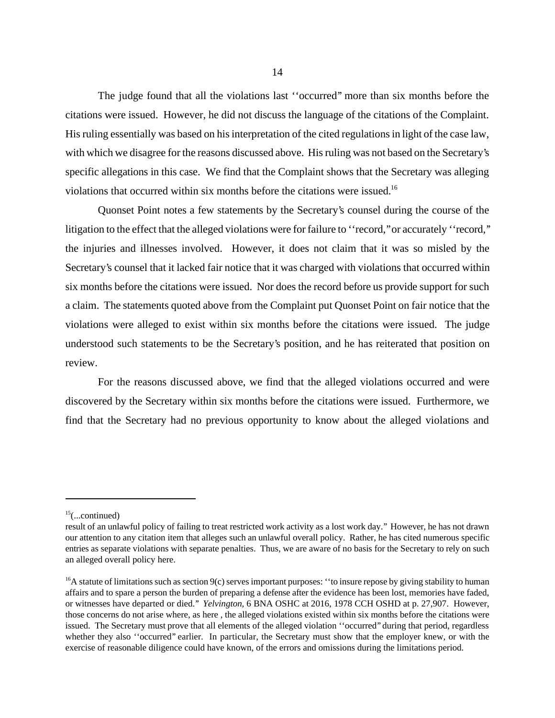The judge found that all the violations last ''occurred'' more than six months before the citations were issued. However, he did not discuss the language of the citations of the Complaint. His ruling essentially was based on his interpretation of the cited regulations in light of the case law, with which we disagree for the reasons discussed above. His ruling was not based on the Secretary's specific allegations in this case. We find that the Complaint shows that the Secretary was alleging violations that occurred within six months before the citations were issued.16

Quonset Point notes a few statements by the Secretary's counsel during the course of the litigation to the effect that the alleged violations were for failure to "record," or accurately "record," the injuries and illnesses involved. However, it does not claim that it was so misled by the Secretary's counsel that it lacked fair notice that it was charged with violations that occurred within six months before the citations were issued. Nor does the record before us provide support for such a claim. The statements quoted above from the Complaint put Quonset Point on fair notice that the violations were alleged to exist within six months before the citations were issued. The judge understood such statements to be the Secretary's position, and he has reiterated that position on review.

For the reasons discussed above, we find that the alleged violations occurred and were discovered by the Secretary within six months before the citations were issued. Furthermore, we find that the Secretary had no previous opportunity to know about the alleged violations and

 $15$ (...continued)

result of an unlawful policy of failing to treat restricted work activity as a lost work day.'' However, he has not drawn our attention to any citation item that alleges such an unlawful overall policy. Rather, he has cited numerous specific entries as separate violations with separate penalties. Thus, we are aware of no basis for the Secretary to rely on such an alleged overall policy here.

 $16A$  statute of limitations such as section  $9(c)$  serves important purposes: "to insure repose by giving stability to human affairs and to spare a person the burden of preparing a defense after the evidence has been lost, memories have faded, or witnesses have departed or died.'' *Yelvington*, 6 BNA OSHC at 2016, 1978 CCH OSHD at p. 27,907. However, those concerns do not arise where, as here , the alleged violations existed within six months before the citations were issued. The Secretary must prove that all elements of the alleged violation ''occurred'' during that period, regardless whether they also "occurred" earlier. In particular, the Secretary must show that the employer knew, or with the exercise of reasonable diligence could have known, of the errors and omissions during the limitations period.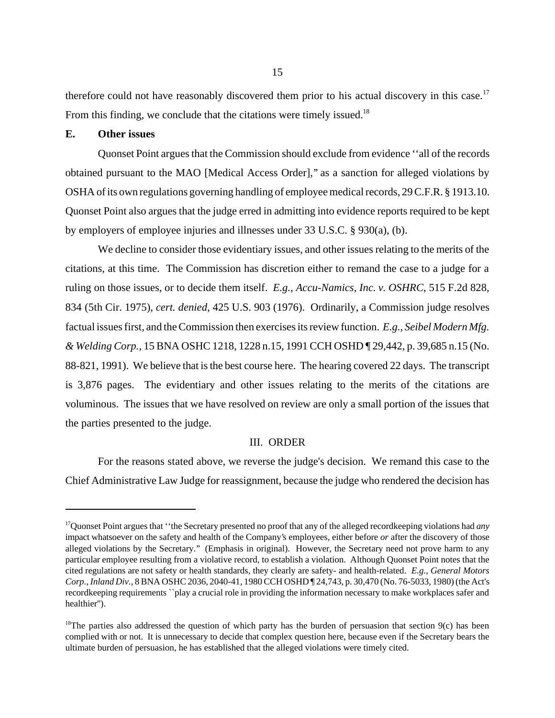therefore could not have reasonably discovered them prior to his actual discovery in this case.<sup>17</sup> From this finding, we conclude that the citations were timely issued.<sup>18</sup>

### **E. Other issues**

Quonset Point argues that the Commission should exclude from evidence ''all of the records obtained pursuant to the MAO [Medical Access Order],'' as a sanction for alleged violations by OSHA of its own regulations governing handling of employee medical records, 29 C.F.R. § 1913.10. Quonset Point also argues that the judge erred in admitting into evidence reports required to be kept by employers of employee injuries and illnesses under 33 U.S.C. § 930(a), (b).

We decline to consider those evidentiary issues, and other issues relating to the merits of the citations, at this time. The Commission has discretion either to remand the case to a judge for a ruling on those issues, or to decide them itself. *E.g., Accu-Namics, Inc. v. OSHRC*, 515 F.2d 828, 834 (5th Cir. 1975), *cert. denied*, 425 U.S. 903 (1976). Ordinarily, a Commission judge resolves factual issues first, and the Commission then exercises its review function. *E.g., Seibel Modern Mfg. & Welding Corp.*, 15 BNA OSHC 1218, 1228 n.15, 1991 CCH OSHD ¶ 29,442, p. 39,685 n.15 (No. 88-821, 1991). We believe that is the best course here. The hearing covered 22 days. The transcript is 3,876 pages. The evidentiary and other issues relating to the merits of the citations are voluminous. The issues that we have resolved on review are only a small portion of the issues that the parties presented to the judge.

#### III. ORDER

For the reasons stated above, we reverse the judge's decision. We remand this case to the Chief Administrative Law Judge for reassignment, because the judge who rendered the decision has

<sup>17</sup>Quonset Point argues that ''the Secretary presented no proof that any of the alleged recordkeeping violations had *any* impact whatsoever on the safety and health of the Company's employees, either before *or* after the discovery of those alleged violations by the Secretary.'' (Emphasis in original). However, the Secretary need not prove harm to any particular employee resulting from a violative record, to establish a violation. Although Quonset Point notes that the cited regulations are not safety or health standards, they clearly are safety- and health-related. *E.g.*, *General Motors Corp., Inland Div.*, 8 BNA OSHC 2036, 2040-41, 1980 CCH OSHD ¶ 24,743, p. 30,470 (No. 76-5033, 1980) (the Act's recordkeeping requirements ``play a crucial role in providing the information necessary to make workplaces safer and healthier'').

<sup>&</sup>lt;sup>18</sup>The parties also addressed the question of which party has the burden of persuasion that section  $9(c)$  has been complied with or not. It is unnecessary to decide that complex question here, because even if the Secretary bears the ultimate burden of persuasion, he has established that the alleged violations were timely cited.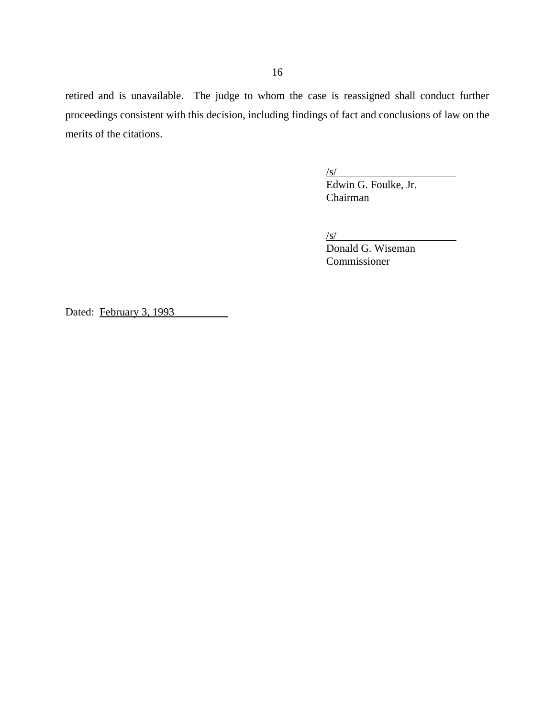retired and is unavailable. The judge to whom the case is reassigned shall conduct further proceedings consistent with this decision, including findings of fact and conclusions of law on the merits of the citations.

 $\sqrt{s}$ /

Edwin G. Foulke, Jr. Chairman

 $\sqrt{s}$ /

Donald G. Wiseman Commissioner

Dated: February 3, 1993